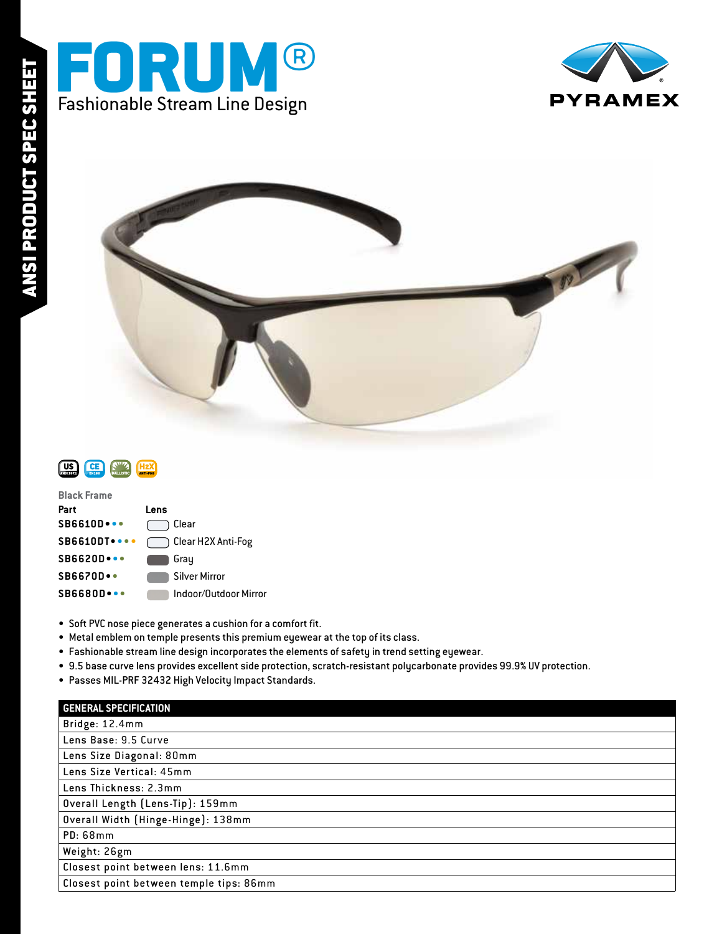





| <b>Black Frame</b>             |                       |
|--------------------------------|-----------------------|
| Part                           | Lens                  |
| $SB6610D\bullet\bullet\bullet$ | Clear                 |
| <b>SB6610DT</b>                | Clear H2X Anti-Fog    |
| $SB6620D\bullet\bullet\bullet$ | Gray                  |
| <b>SB6670D</b> .               | Silver Mirror         |
| $SBB680D\bullet\bullet\bullet$ | Indoor/Qutdoor Mirror |
|                                |                       |

- Soft PVC nose piece generates a cushion for a comfort fit.
- Metal emblem on temple presents this premium eyewear at the top of its class.
- Fashionable stream line design incorporates the elements of safety in trend setting eyewear.
- 9.5 base curve lens provides excellent side protection, scratch-resistant polycarbonate provides 99.9% UV protection.
- Passes MIL-PRF 32432 High Velocity Impact Standards.

| <b>GENERAL SPECIFICATION</b>            |
|-----------------------------------------|
| Bridge: 12.4mm                          |
| Lens Base: 9.5 Curve                    |
| Lens Size Diagonal: 80mm                |
| Lens Size Vertical: 45mm                |
| Lens Thickness: 2.3mm                   |
| Overall Length (Lens-Tip): 159mm        |
| Overall Width (Hinge-Hinge): 138mm      |
| <b>PD: 68mm</b>                         |
| Weight: 26gm                            |
| Closest point between lens: 11.6mm      |
| Closest point between temple tips: 86mm |